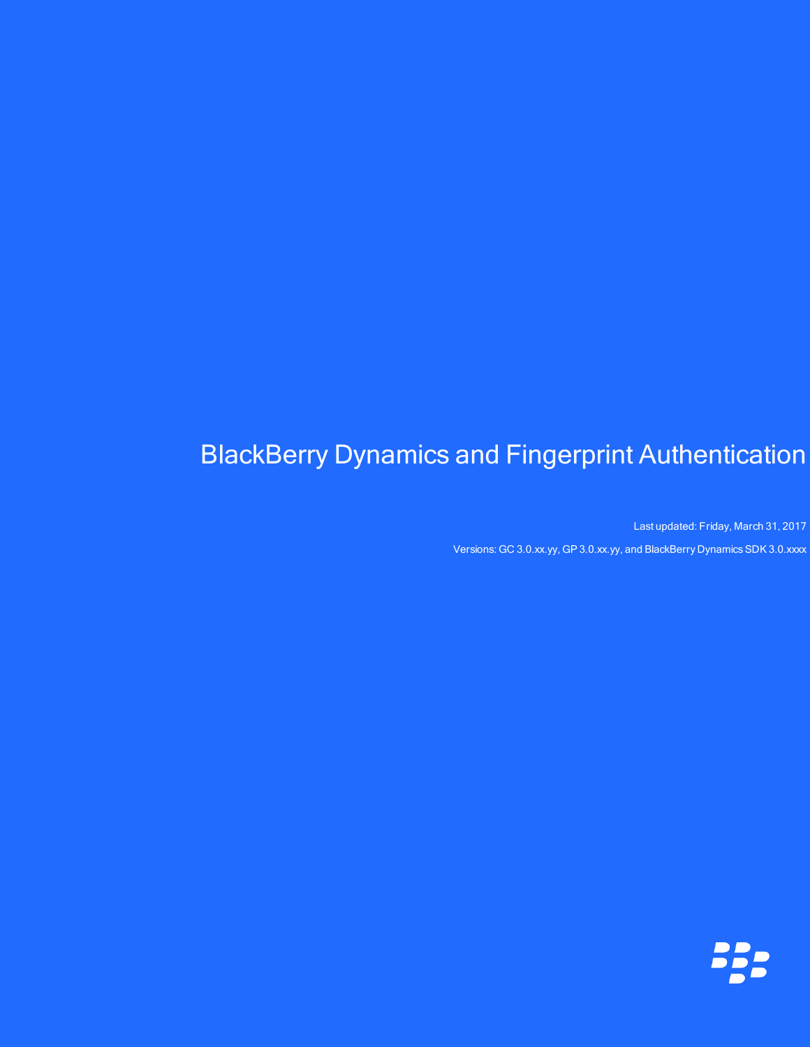# BlackBerry Dynamics and Fingerprint Authentication

Last updated: Friday, March 31, 2017 Versions: GC 3.0.xx.yy, GP 3.0.xx.yy, and BlackBerry Dynamics SDK 3.0.xxxx

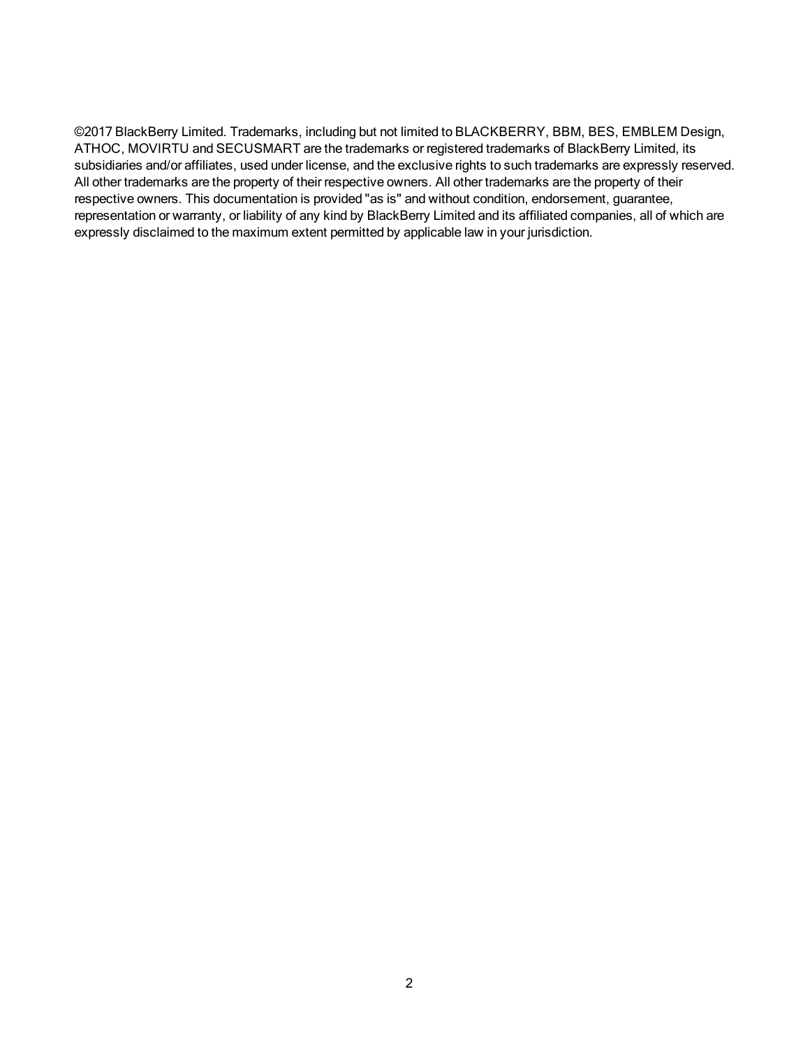©2017 BlackBerry Limited. Trademarks, including but not limited to BLACKBERRY, BBM, BES, EMBLEM Design, ATHOC, MOVIRTU and SECUSMART are the trademarks or registered trademarks of BlackBerry Limited, its subsidiaries and/or affiliates, used under license, and the exclusive rights to such trademarks are expressly reserved. All other trademarks are the property of their respective owners. All other trademarks are the property of their respective owners. This documentation is provided "as is" and without condition, endorsement, guarantee, representation or warranty, or liability of any kind by BlackBerry Limited and its affiliated companies, all of which are expressly disclaimed to the maximum extent permitted by applicable law in your jurisdiction.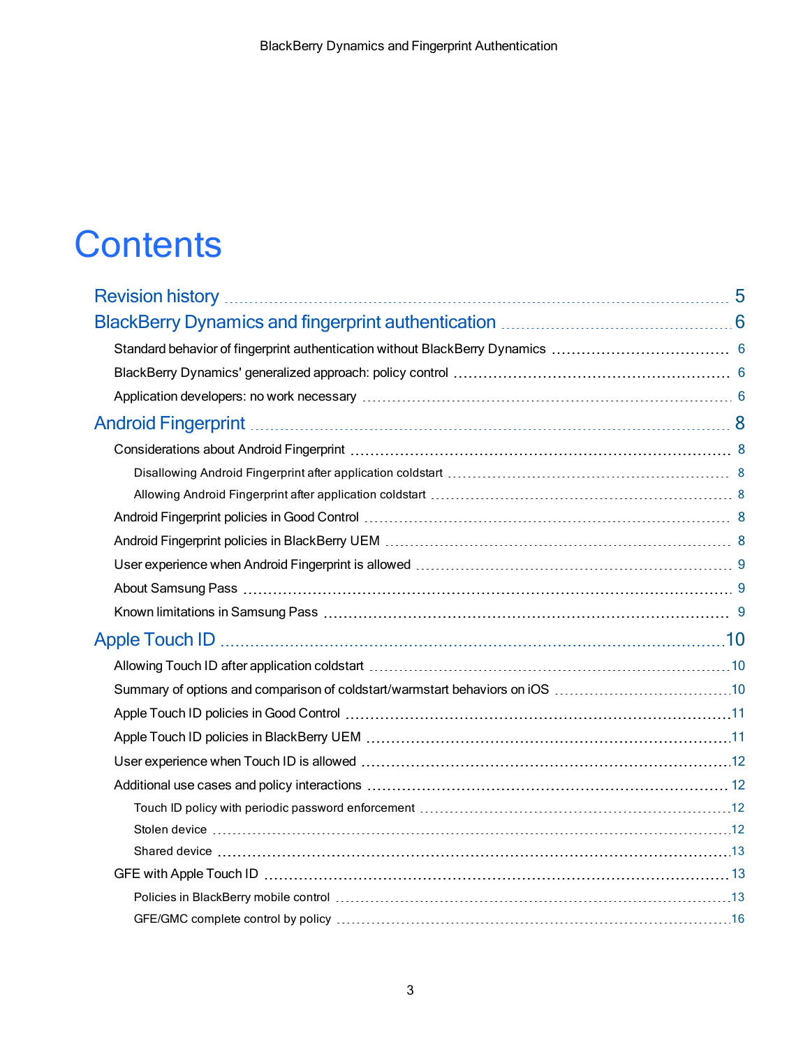# **Contents**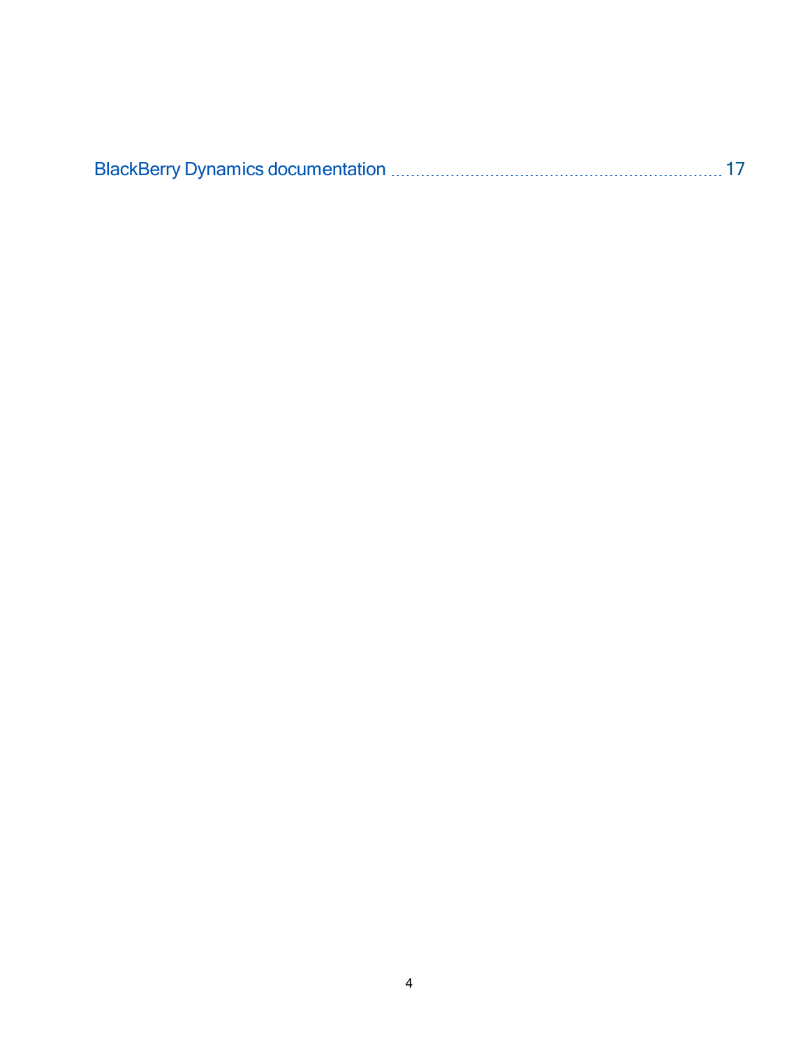|--|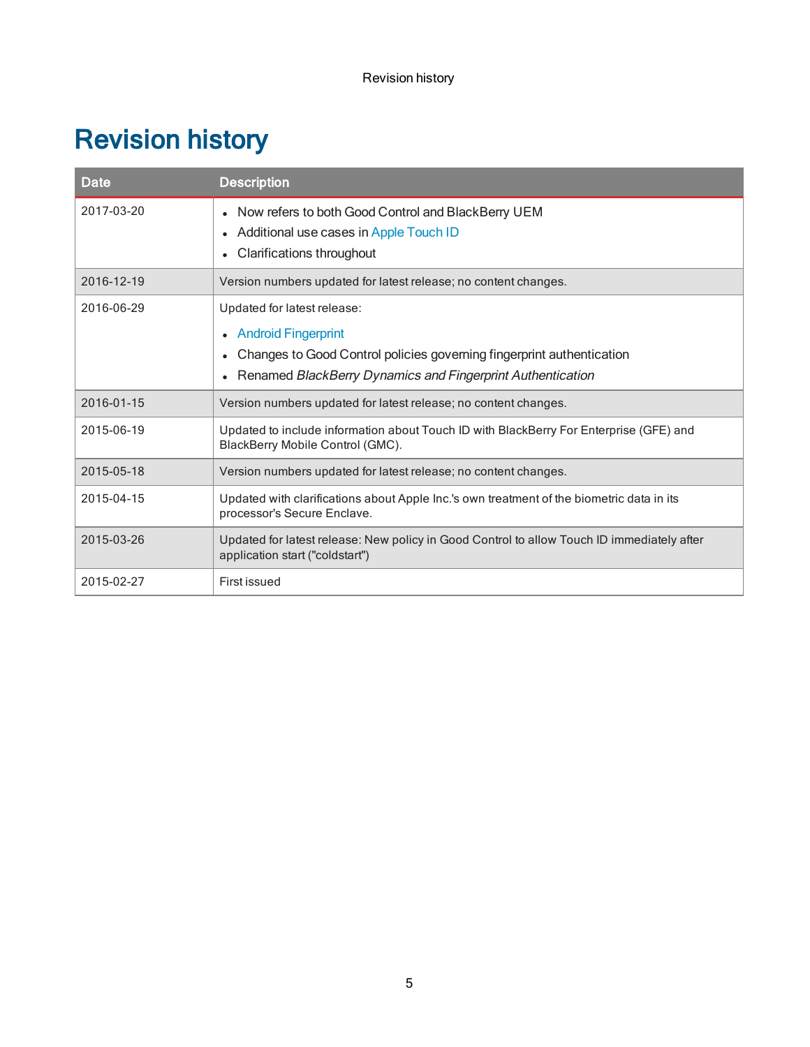# <span id="page-4-0"></span>Revision history

| <b>Date</b> | <b>Description</b>                                                                                                                                                                          |
|-------------|---------------------------------------------------------------------------------------------------------------------------------------------------------------------------------------------|
| 2017-03-20  | • Now refers to both Good Control and BlackBerry UEM<br>• Additional use cases in Apple Touch ID<br><b>Clarifications throughout</b>                                                        |
| 2016-12-19  | Version numbers updated for latest release; no content changes.                                                                                                                             |
| 2016-06-29  | Updated for latest release:<br>• Android Fingerprint<br>Changes to Good Control policies governing fingerprint authentication<br>Renamed BlackBerry Dynamics and Fingerprint Authentication |
| 2016-01-15  | Version numbers updated for latest release; no content changes.                                                                                                                             |
| 2015-06-19  | Updated to include information about Touch ID with BlackBerry For Enterprise (GFE) and<br>BlackBerry Mobile Control (GMC).                                                                  |
| 2015-05-18  | Version numbers updated for latest release; no content changes.                                                                                                                             |
| 2015-04-15  | Updated with clarifications about Apple Inc.'s own treatment of the biometric data in its<br>processor's Secure Enclave.                                                                    |
| 2015-03-26  | Updated for latest release: New policy in Good Control to allow Touch ID immediately after<br>application start ("coldstart")                                                               |
| 2015-02-27  | First issued                                                                                                                                                                                |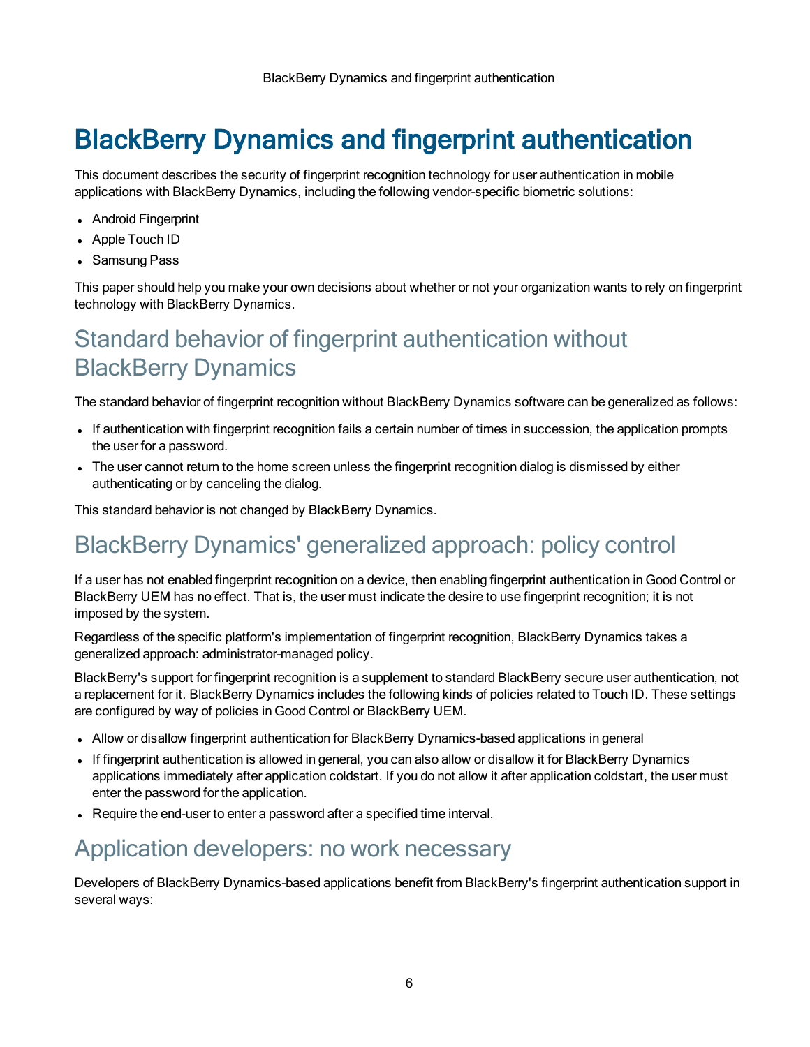# <span id="page-5-0"></span>BlackBerry Dynamics and fingerprint authentication

This document describes the security of fingerprint recognition technology for user authentication in mobile applications with BlackBerry Dynamics, including the following vendor-specific biometric solutions:

- Android Fingerprint
- Apple Touch ID
- Samsung Pass

<span id="page-5-1"></span>This paper should help you make your own decisions about whether or not your organization wants to rely on fingerprint technology with BlackBerry Dynamics.

## Standard behavior of fingerprint authentication without BlackBerry Dynamics

The standard behavior of fingerprint recognition without BlackBerry Dynamics software can be generalized as follows:

- If authentication with fingerprint recognition fails a certain number of times in succession, the application prompts the user for a password.
- The user cannot return to the home screen unless the fingerprint recognition dialog is dismissed by either authenticating or by canceling the dialog.

<span id="page-5-2"></span>This standard behavior is not changed by BlackBerry Dynamics.

### BlackBerry Dynamics' generalized approach: policy control

If a user has not enabled fingerprint recognition on a device, then enabling fingerprint authentication in Good Control or BlackBerry UEM has no effect. That is, the user must indicate the desire to use fingerprint recognition; it is not imposed by the system.

Regardless of the specific platform's implementation of fingerprint recognition, BlackBerry Dynamics takes a generalized approach: administrator-managed policy.

BlackBerry's support for fingerprint recognition is a supplement to standard BlackBerry secure user authentication, not a replacement for it. BlackBerry Dynamics includes the following kinds of policies related to Touch ID. These settings are configured by way of policies in Good Control or BlackBerry UEM.

- Allow or disallow fingerprint authentication for BlackBerry Dynamics-based applications in general
- If fingerprint authentication is allowed in general, you can also allow or disallow it for BlackBerry Dynamics applications immediately after application coldstart. If you do not allow it after application coldstart, the user must enter the password for the application.
- <span id="page-5-3"></span>• Require the end-user to enter a password after a specified time interval.

### Application developers: no work necessary

Developers of BlackBerry Dynamics-based applications benefit from BlackBerry's fingerprint authentication support in several ways: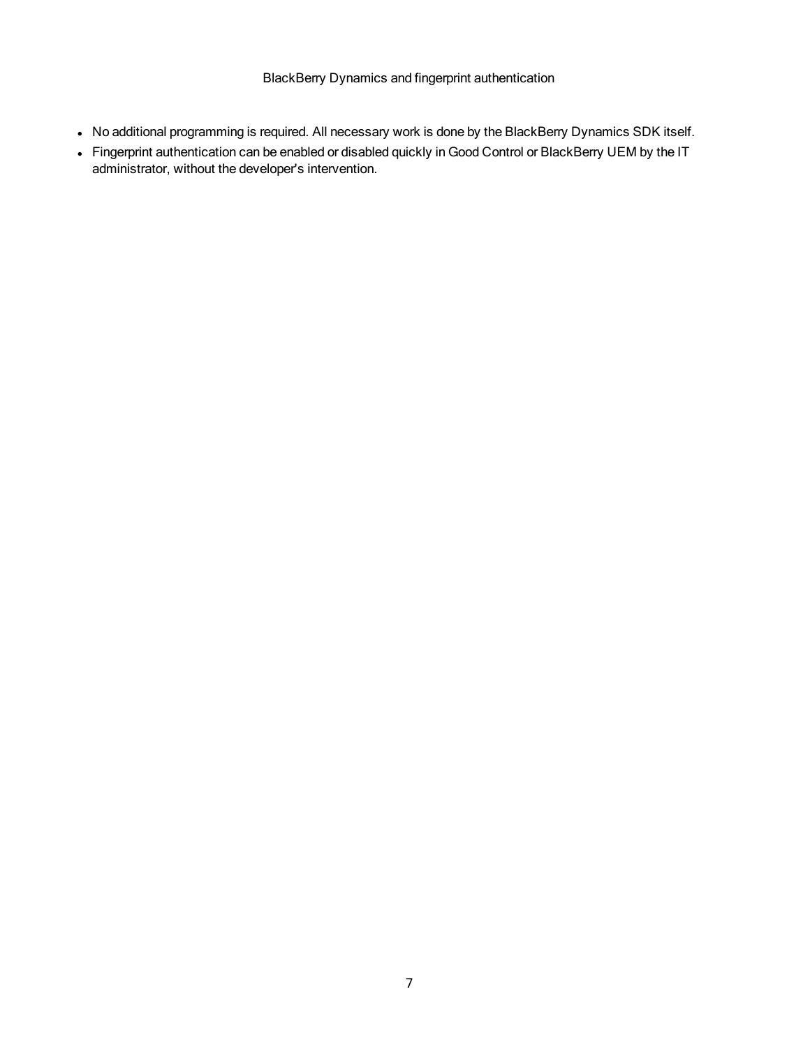- No additional programming is required. All necessary work is done by the BlackBerry Dynamics SDK itself.
- Fingerprint authentication can be enabled or disabled quickly in Good Control or BlackBerry UEM by the IT administrator, without the developer's intervention.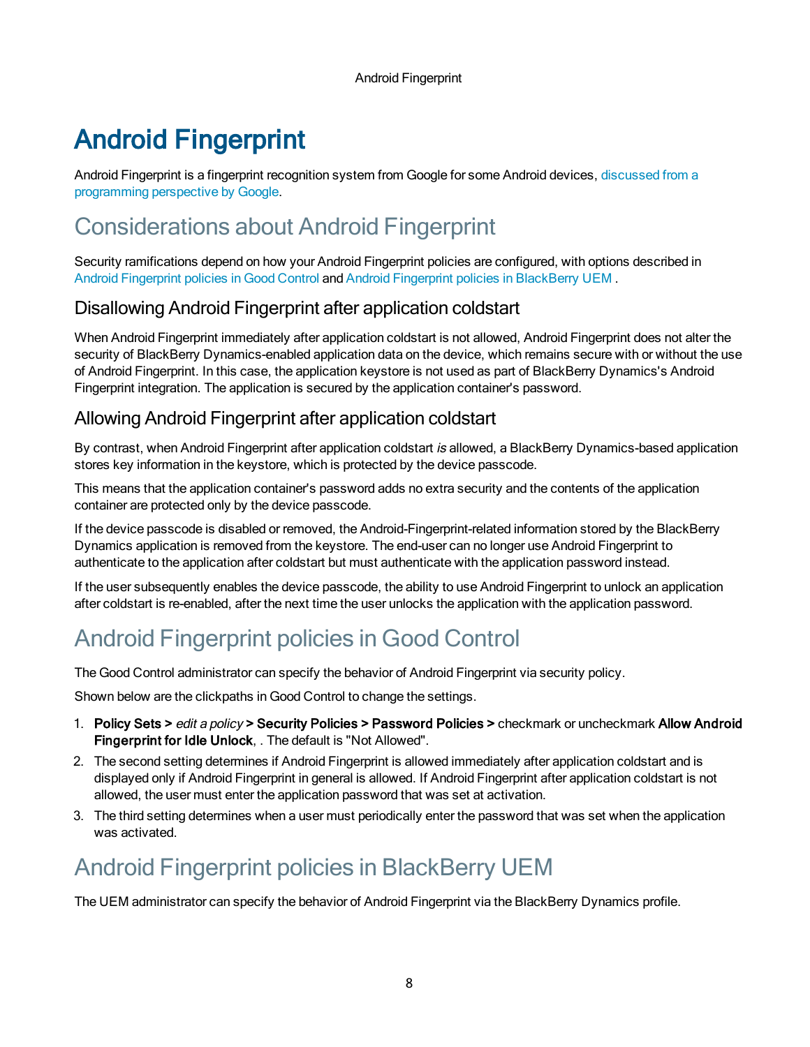Android Fingerprint

# <span id="page-7-0"></span>Android Fingerprint

<span id="page-7-1"></span>Android Fingerprint is a fingerprint recognition system from Google for some Android devices, [discussed](http://developer.android.com/about/versions/marshmallow/android-6.0.html) from a [programming](http://developer.android.com/about/versions/marshmallow/android-6.0.html) perspective by Google.

# Considerations about Android Fingerprint

Security ramifications depend on how your Android Fingerprint policies are configured, with options described in Android [Fingerprint](#page-7-4) policies in Good Control and Android Fingerprint policies in [BlackBerry](#page-7-5) UEM.

#### <span id="page-7-2"></span>Disallowing Android Fingerprint after application coldstart

When Android Fingerprint immediately after application coldstart is not allowed, Android Fingerprint does not alter the security of BlackBerry Dynamics-enabled application data on the device, which remains secure with or without the use of Android Fingerprint. In this case, the application keystore is not used as part of BlackBerry Dynamics's Android Fingerprint integration. The application is secured by the application container's password.

#### <span id="page-7-3"></span>Allowing Android Fingerprint after application coldstart

By contrast, when Android Fingerprint after application coldstart is allowed, a BlackBerry Dynamics-based application stores key information in the keystore, which is protected by the device passcode.

This means that the application container's password adds no extra security and the contents of the application container are protected only by the device passcode.

If the device passcode is disabled or removed, the Android-Fingerprint-related information stored by the BlackBerry Dynamics application is removed from the keystore. The end-user can no longer use Android Fingerprint to authenticate to the application after coldstart but must authenticate with the application password instead.

<span id="page-7-4"></span>If the user subsequently enables the device passcode, the ability to use Android Fingerprint to unlock an application after coldstart is re-enabled, after the next time the user unlocks the application with the application password.

# Android Fingerprint policies in Good Control

The Good Control administrator can specify the behavior of Android Fingerprint via security policy.

Shown below are the clickpaths in Good Control to change the settings.

- 1. Policy Sets > edit a policy > Security Policies > Password Policies > checkmark or uncheckmark Allow Android Fingerprint for Idle Unlock, . The default is "Not Allowed".
- 2. The second setting determines if Android Fingerprint is allowed immediately after application coldstart and is displayed only if Android Fingerprint in general is allowed. If Android Fingerprint after application coldstart is not allowed, the user must enter the application password that was set at activation.
- <span id="page-7-5"></span>3. The third setting determines when a user must periodically enter the password that was set when the application was activated.

# Android Fingerprint policies in BlackBerry UEM

The UEM administrator can specify the behavior of Android Fingerprint via the BlackBerry Dynamics profile.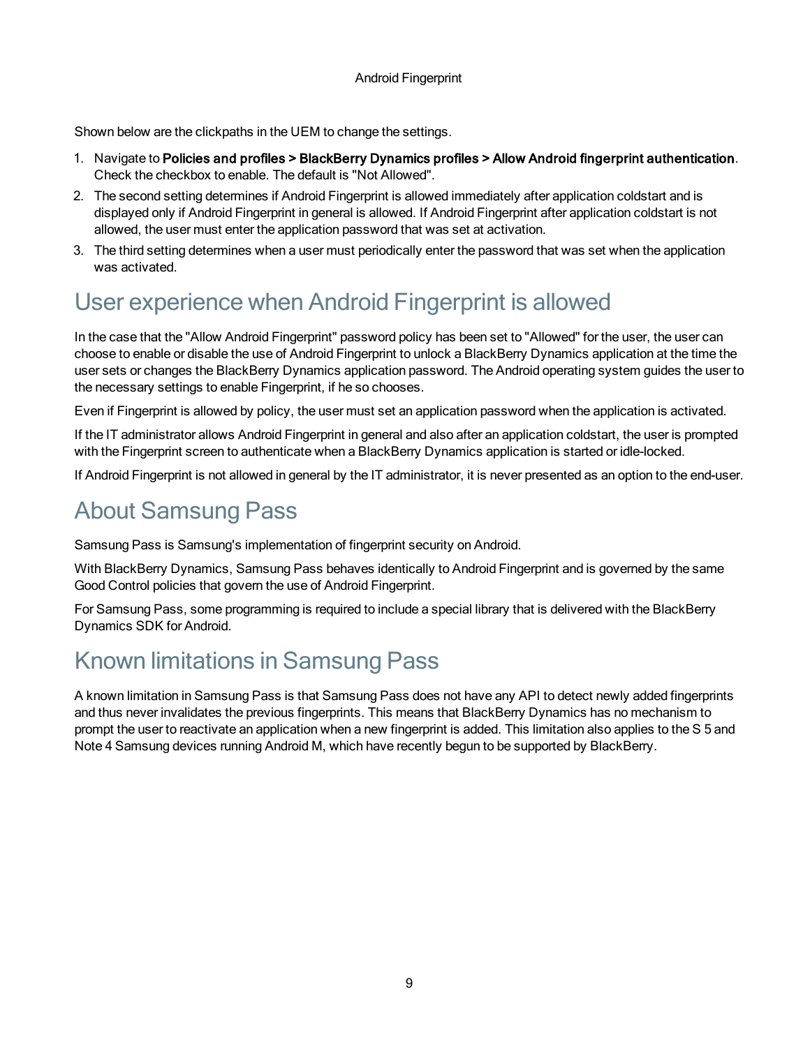Shown below are the clickpaths in the UEM to change the settings.

- 1. Navigate to Policies and profiles > BlackBerry Dynamics profiles > Allow Android fingerprint authentication. Check the checkbox to enable. The default is "Not Allowed".
- 2. The second setting determines if Android Fingerprint is allowed immediately after application coldstart and is displayed only if Android Fingerprint in general is allowed. If Android Fingerprint after application coldstart is not allowed, the user must enter the application password that was set at activation.
- <span id="page-8-0"></span>3. The third setting determines when a user must periodically enter the password that was set when the application was activated.

## User experience when Android Fingerprint is allowed

In the case that the "Allow Android Fingerprint" password policy has been set to "Allowed" for the user, the user can choose to enable or disable the use of Android Fingerprint to unlock a BlackBerry Dynamics application at the time the user sets or changes the BlackBerry Dynamics application password. The Android operating system guides the user to the necessary settings to enable Fingerprint, if he so chooses.

Even if Fingerprint is allowed by policy, the user must set an application password when the application is activated.

If the IT administrator allows Android Fingerprint in general and also after an application coldstart, the user is prompted with the Fingerprint screen to authenticate when a BlackBerry Dynamics application is started or idle-locked.

<span id="page-8-1"></span>If Android Fingerprint is not allowed in general by the IT administrator, it is never presented as an option to the end-user.

### About Samsung Pass

Samsung Pass is Samsung's implementation of fingerprint security on Android.

With BlackBerry Dynamics, Samsung Pass behaves identically to Android Fingerprint and is governed by the same Good Control policies that govern the use of Android Fingerprint.

<span id="page-8-2"></span>For Samsung Pass, some programming is required to include a special library that is delivered with the BlackBerry Dynamics SDK for Android.

## Known limitations in Samsung Pass

A known limitation in Samsung Pass is that Samsung Pass does not have any API to detect newly added fingerprints and thus never invalidates the previous fingerprints. This means that BlackBerry Dynamics has no mechanism to prompt the user to reactivate an application when a new fingerprint is added. This limitation also applies to the S 5 and Note 4 Samsung devices running Android M, which have recently begun to be supported by BlackBerry.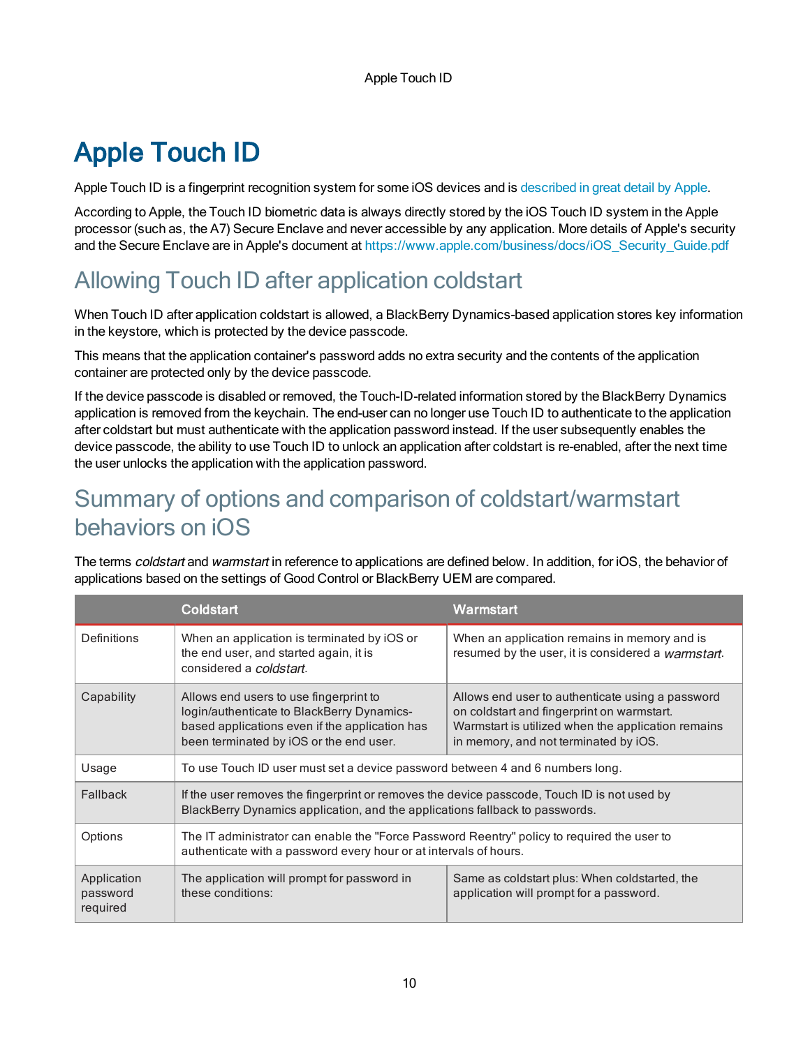<span id="page-9-0"></span>Apple Touch ID is a fingerprint recognition system for some iOS devices and is [described](http://support.apple.com/en-us/HT5949) in great detail by Apple.

According to Apple, the Touch ID biometric data is always directly stored by the iOS Touch ID system in the Apple processor (such as, the A7) Secure Enclave and never accessible by any application. More details of Apple's security and the Secure Enclave are in Apple's document at [https://www.apple.com/business/docs/iOS\\_Security\\_Guide.pdf](https://www.apple.com/business/docs/iOS_Security_Guide.pdf)

## <span id="page-9-1"></span>Allowing Touch ID after application coldstart

When Touch ID after application coldstart is allowed, a BlackBerry Dynamics-based application stores key information in the keystore, which is protected by the device passcode.

This means that the application container's password adds no extra security and the contents of the application container are protected only by the device passcode.

If the device passcode is disabled or removed, the Touch-ID-related information stored by the BlackBerry Dynamics application is removed from the keychain. The end-user can no longer use Touch ID to authenticate to the application after coldstart but must authenticate with the application password instead. If the user subsequently enables the device passcode, the ability to use Touch ID to unlock an application after coldstart is re-enabled, after the next time the user unlocks the application with the application password.

### <span id="page-9-2"></span>Summary of options and comparison of coldstart/warmstart behaviors on iOS

The terms *coldstart* and *warmstart* in reference to applications are defined below. In addition, for iOS, the behavior of applications based on the settings of Good Control or BlackBerry UEM are compared.

|                                     | <b>Coldstart</b>                                                                                                                                                                  | Warmstart                                                                                                                                                                                     |
|-------------------------------------|-----------------------------------------------------------------------------------------------------------------------------------------------------------------------------------|-----------------------------------------------------------------------------------------------------------------------------------------------------------------------------------------------|
| Definitions                         | When an application is terminated by iOS or<br>the end user, and started again, it is<br>considered a coldstart.                                                                  | When an application remains in memory and is<br>resumed by the user, it is considered a warmstart.                                                                                            |
| Capability                          | Allows end users to use fingerprint to<br>login/authenticate to BlackBerry Dynamics-<br>based applications even if the application has<br>been terminated by iOS or the end user. | Allows end user to authenticate using a password<br>on coldstart and fingerprint on warmstart.<br>Warmstart is utilized when the application remains<br>in memory, and not terminated by iOS. |
| Usage                               | To use Touch ID user must set a device password between 4 and 6 numbers long.                                                                                                     |                                                                                                                                                                                               |
| Fallback                            | If the user removes the fingerprint or removes the device passcode, Touch ID is not used by<br>BlackBerry Dynamics application, and the applications fallback to passwords.       |                                                                                                                                                                                               |
| Options                             | The IT administrator can enable the "Force Password Reentry" policy to required the user to<br>authenticate with a password every hour or at intervals of hours.                  |                                                                                                                                                                                               |
| Application<br>password<br>required | The application will prompt for password in<br>these conditions:                                                                                                                  | Same as coldstart plus: When coldstarted, the<br>application will prompt for a password.                                                                                                      |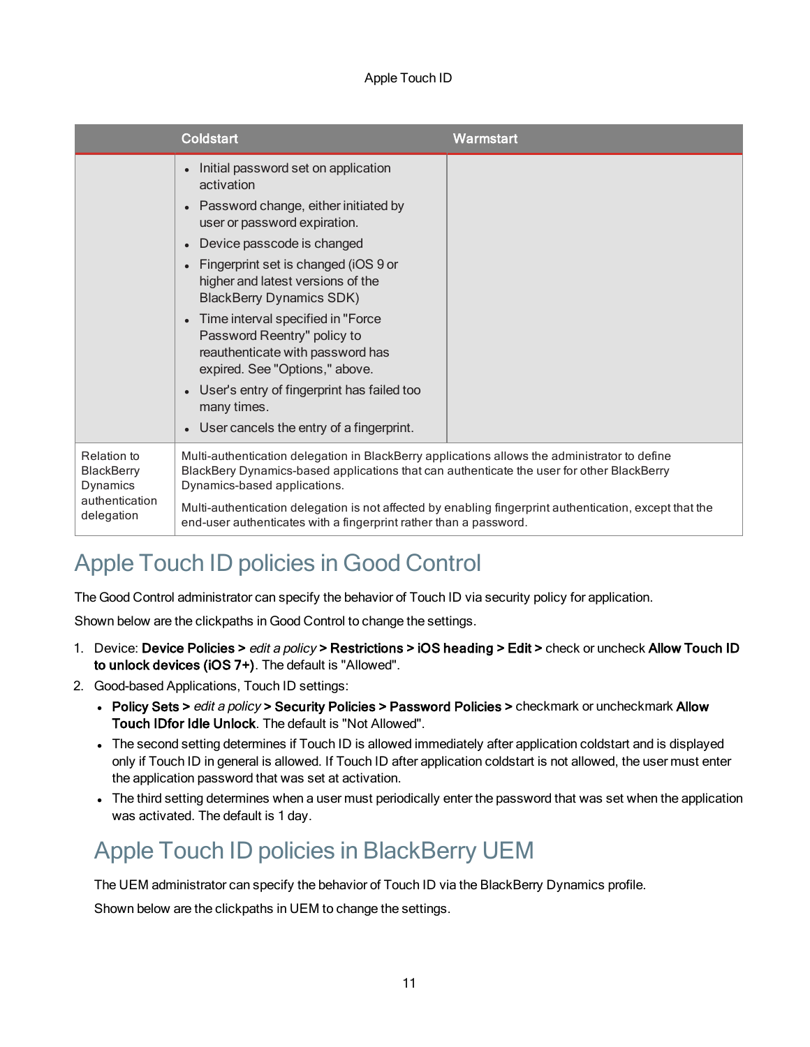|                                                                              | <b>Coldstart</b>                                                                                                                                                                                                                                                                                                                                                                                                                                                                                                           | Warmstart                                                                                               |
|------------------------------------------------------------------------------|----------------------------------------------------------------------------------------------------------------------------------------------------------------------------------------------------------------------------------------------------------------------------------------------------------------------------------------------------------------------------------------------------------------------------------------------------------------------------------------------------------------------------|---------------------------------------------------------------------------------------------------------|
|                                                                              | Initial password set on application<br>activation<br>Password change, either initiated by<br>user or password expiration.<br>Device passcode is changed<br>Fingerprint set is changed (iOS 9 or<br>higher and latest versions of the<br><b>BlackBerry Dynamics SDK)</b><br>Time interval specified in "Force<br>Password Reentry" policy to<br>reauthenticate with password has<br>expired. See "Options," above.<br>User's entry of fingerprint has failed too<br>many times.<br>User cancels the entry of a fingerprint. |                                                                                                         |
| Relation to<br><b>BlackBerry</b><br>Dynamics<br>authentication<br>delegation | Multi-authentication delegation in BlackBerry applications allows the administrator to define<br>BlackBery Dynamics-based applications that can authenticate the user for other BlackBerry<br>Dynamics-based applications.                                                                                                                                                                                                                                                                                                 |                                                                                                         |
|                                                                              | end-user authenticates with a fingerprint rather than a password.                                                                                                                                                                                                                                                                                                                                                                                                                                                          | Multi-authentication delegation is not affected by enabling fingerprint authentication, except that the |

### <span id="page-10-0"></span>Apple Touch ID policies in Good Control

The Good Control administrator can specify the behavior of Touch ID via security policy for application.

Shown below are the clickpaths in Good Control to change the settings.

- 1. Device: Device Policies > edit a policy > Restrictions > iOS heading > Edit > check or uncheck Allow Touch ID to unlock devices (iOS 7+). The default is "Allowed".
- 2. Good-based Applications, Touch ID settings:
	- Policy Sets > edit a policy > Security Policies > Password Policies > checkmark or uncheckmark Allow Touch IDfor Idle Unlock. The default is "Not Allowed".
	- The second setting determines if Touch ID is allowed immediately after application coldstart and is displayed only if Touch ID in general is allowed. If Touch ID after application coldstart is not allowed, the user must enter the application password that was set at activation.
	- The third setting determines when a user must periodically enter the password that was set when the application was activated. The default is 1 day.

## <span id="page-10-1"></span>Apple Touch ID policies in BlackBerry UEM

The UEM administrator can specify the behavior of Touch ID via the BlackBerry Dynamics profile.

Shown below are the clickpaths in UEM to change the settings.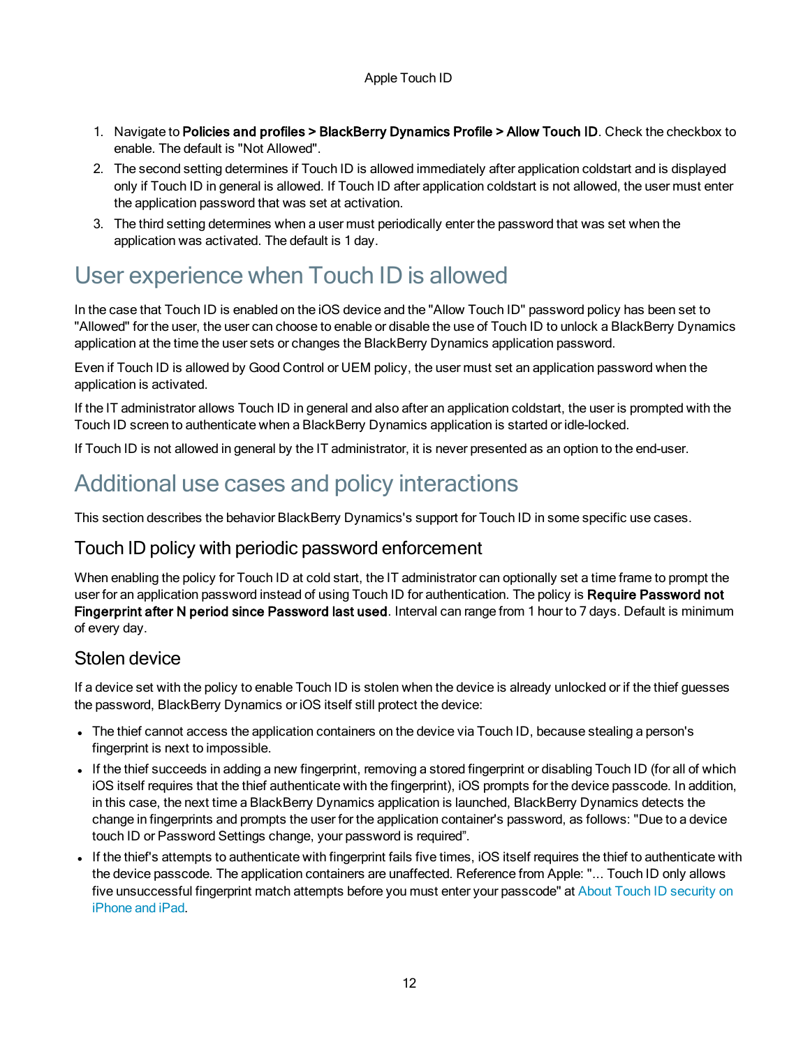- 1. Navigate to Policies and profiles > BlackBerry Dynamics Profile > Allow Touch ID. Check the checkbox to enable. The default is "Not Allowed".
- 2. The second setting determines if Touch ID is allowed immediately after application coldstart and is displayed only if Touch ID in general is allowed. If Touch ID after application coldstart is not allowed, the user must enter the application password that was set at activation.
- <span id="page-11-0"></span>3. The third setting determines when a user must periodically enter the password that was set when the application was activated. The default is 1 day.

### User experience when Touch ID is allowed

In the case that Touch ID is enabled on the iOS device and the "Allow Touch ID" password policy has been set to "Allowed" for the user, the user can choose to enable or disable the use of Touch ID to unlock a BlackBerry Dynamics application at the time the user sets or changes the BlackBerry Dynamics application password.

Even if Touch ID is allowed by Good Control or UEM policy, the user must set an application password when the application is activated.

If the IT administrator allows Touch ID in general and also after an application coldstart, the user is prompted with the Touch ID screen to authenticate when a BlackBerry Dynamics application is started or idle-locked.

<span id="page-11-1"></span>If Touch ID is not allowed in general by the IT administrator, it is never presented as an option to the end-user.

### Additional use cases and policy interactions

<span id="page-11-2"></span>This section describes the behavior BlackBerry Dynamics's support for Touch ID in some specific use cases.

#### Touch ID policy with periodic password enforcement

When enabling the policy for Touch ID at cold start, the IT administrator can optionally set a time frame to prompt the user for an application password instead of using Touch ID for authentication. The policy is Require Password not Fingerprint after N period since Password last used. Interval can range from 1 hour to 7 days. Default is minimum of every day.

#### <span id="page-11-3"></span>Stolen device

If a device set with the policy to enable Touch ID is stolen when the device is already unlocked or if the thief guesses the password, BlackBerry Dynamics or iOS itself still protect the device:

- The thief cannot access the application containers on the device via Touch ID, because stealing a person's fingerprint is next to impossible.
- If the thief succeeds in adding a new fingerprint, removing a stored fingerprint or disabling Touch ID (for all of which iOS itself requires that the thief authenticate with the fingerprint), iOS prompts for the device passcode. In addition, in this case, the next time a BlackBerry Dynamics application is launched, BlackBerry Dynamics detects the change in fingerprints and prompts the user for the application container's password, as follows: "Due to a device touch ID or Password Settings change, your password is required".
- If the thief's attempts to authenticate with fingerprint fails five times, iOS itself requires the thief to authenticate with the device passcode. The application containers are unaffected. Reference from Apple: "... Touch ID only allows five unsuccessful fingerprint match attempts before you must enter your passcode" at About Touch ID [security](https://support.apple.com/en-us/HT204587) on [iPhone](https://support.apple.com/en-us/HT204587) and iPad.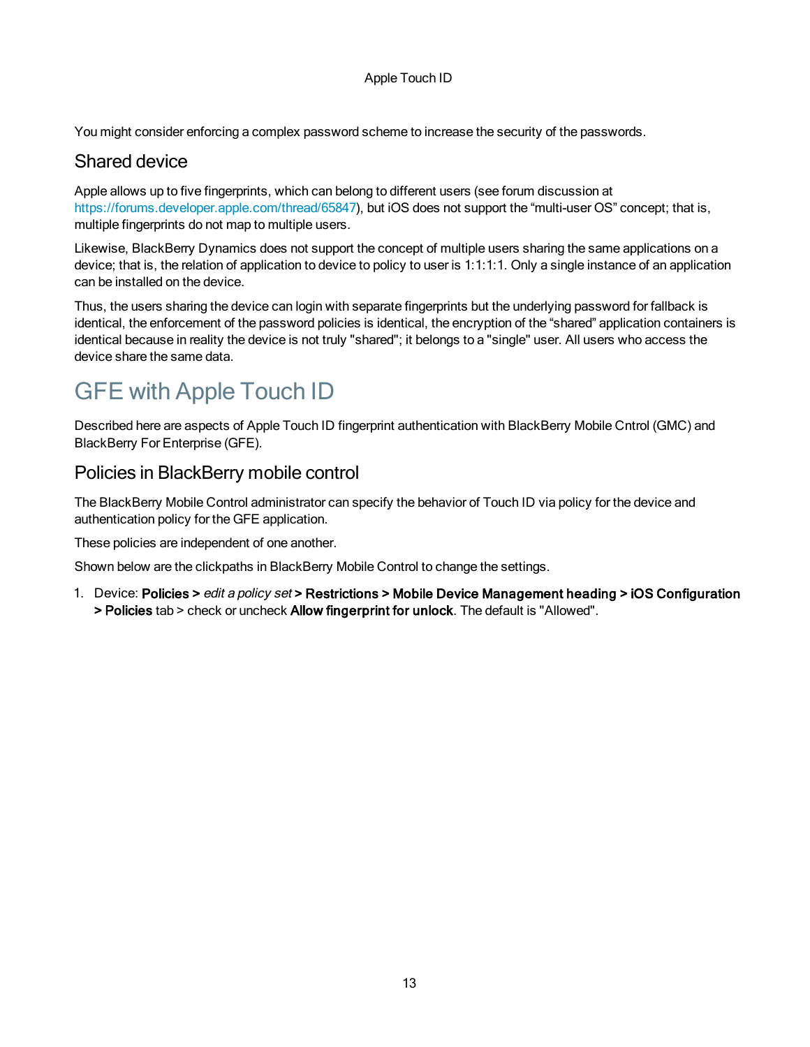<span id="page-12-0"></span>You might consider enforcing a complex password scheme to increase the security of the passwords.

#### Shared device

Apple allows up to five fingerprints, which can belong to different users (see forum discussion at <https://forums.developer.apple.com/thread/65847>), but iOS does not support the "multi-user OS" concept; that is, multiple fingerprints do not map to multiple users.

Likewise, BlackBerry Dynamics does not support the concept of multiple users sharing the same applications on a device; that is, the relation of application to device to policy to user is 1:1:1:1. Only a single instance of an application can be installed on the device.

Thus, the users sharing the device can login with separate fingerprints but the underlying password for fallback is identical, the enforcement of the password policies is identical, the encryption of the "shared" application containers is identical because in reality the device is not truly "shared"; it belongs to a "single" user. All users who access the device share the same data.

## <span id="page-12-1"></span>GFE with Apple Touch ID

<span id="page-12-2"></span>Described here are aspects of Apple Touch ID fingerprint authentication with BlackBerry Mobile Cntrol (GMC) and BlackBerry For Enterprise (GFE).

#### Policies in BlackBerry mobile control

The BlackBerry Mobile Control administrator can specify the behavior of Touch ID via policy for the device and authentication policy for the GFE application.

These policies are independent of one another.

Shown below are the clickpaths in BlackBerry Mobile Control to change the settings.

1. Device: Policies > edit a policy set > Restrictions > Mobile Device Management heading > iOS Configuration > Policies tab > check or uncheck Allow fingerprint for unlock. The default is "Allowed".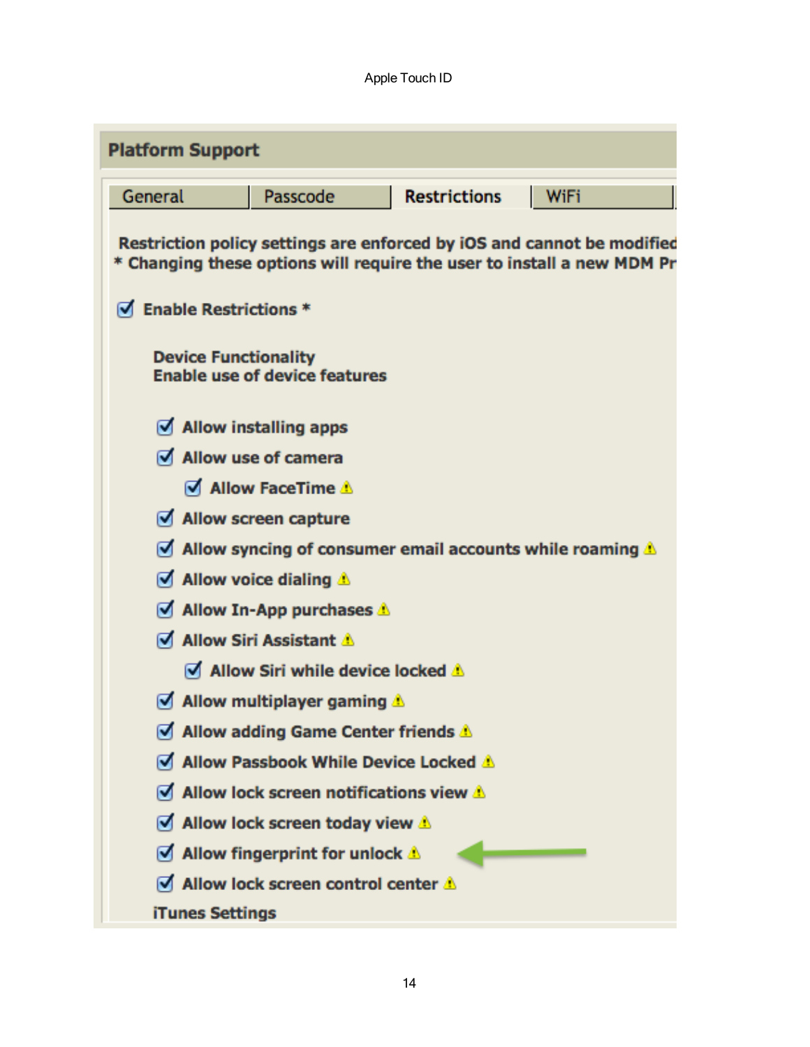| <b>Platform Support</b>          |                                                        |                     |                                                                                                                                                  |
|----------------------------------|--------------------------------------------------------|---------------------|--------------------------------------------------------------------------------------------------------------------------------------------------|
| General                          | Passcode                                               | <b>Restrictions</b> | WiFi                                                                                                                                             |
|                                  |                                                        |                     | Restriction policy settings are enforced by iOS and cannot be modified<br>* Changing these options will require the user to install a new MDM Pr |
| $\sqrt{ }$ Enable Restrictions * |                                                        |                     |                                                                                                                                                  |
| <b>Device Functionality</b>      | <b>Enable use of device features</b>                   |                     |                                                                                                                                                  |
|                                  | $\sqrt{ }$ Allow installing apps                       |                     |                                                                                                                                                  |
| Allow use of camera              |                                                        |                     |                                                                                                                                                  |
|                                  | Ø Allow FaceTime ∆                                     |                     |                                                                                                                                                  |
|                                  | Allow screen capture                                   |                     |                                                                                                                                                  |
|                                  |                                                        |                     | $\triangle$ Allow syncing of consumer email accounts while roaming $\triangle$                                                                   |
|                                  | $\sqrt{ }$ Allow voice dialing $\triangle$             |                     |                                                                                                                                                  |
|                                  | $\blacksquare$ Allow In-App purchases $\blacktriangle$ |                     |                                                                                                                                                  |
|                                  | Ø Allow Siri Assistant A                               |                     |                                                                                                                                                  |
|                                  | Allow Siri while device locked A                       |                     |                                                                                                                                                  |
|                                  | Allow multiplayer gaming $\triangle$                   |                     |                                                                                                                                                  |
|                                  | Allow adding Game Center friends A                     |                     |                                                                                                                                                  |
|                                  | Allow Passbook While Device Locked                     |                     |                                                                                                                                                  |
|                                  | Allow lock screen notifications view A                 |                     |                                                                                                                                                  |
|                                  | Allow lock screen today view $\triangle$               |                     |                                                                                                                                                  |
|                                  | Allow fingerprint for unlock $\triangle$               |                     |                                                                                                                                                  |
|                                  | Allow lock screen control center $\triangle$           |                     |                                                                                                                                                  |
| iTunes Settings                  |                                                        |                     |                                                                                                                                                  |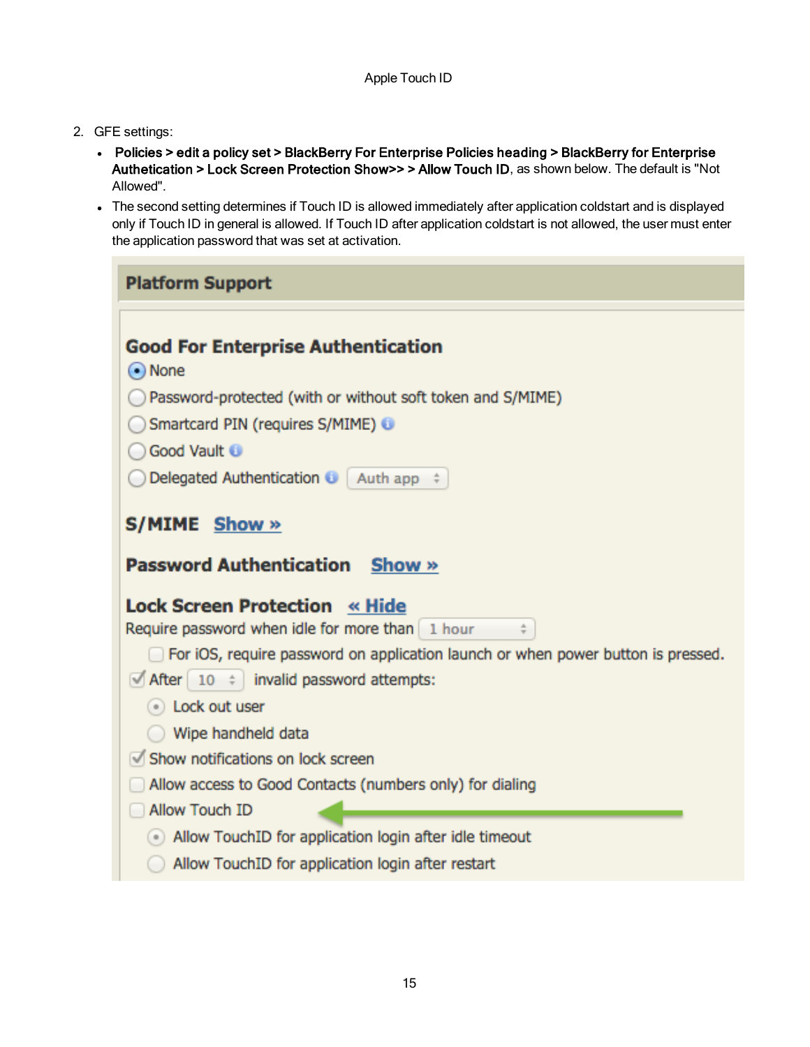- 2. GFE settings:
	- Policies > edit a policy set > BlackBerry For Enterprise Policies heading > BlackBerry for Enterprise Authetication > Lock Screen Protection Show>> > Allow Touch ID, as shown below. The default is "Not Allowed".
	- The second setting determines if Touch ID is allowed immediately after application coldstart and is displayed only if Touch ID in general is allowed. If Touch ID after application coldstart is not allowed, the user must enter the application password that was set at activation.

| <b>Platform Support</b>                                                                                                                                                                                                                                     |
|-------------------------------------------------------------------------------------------------------------------------------------------------------------------------------------------------------------------------------------------------------------|
| <b>Good For Enterprise Authentication</b><br>$\odot$ None<br>Password-protected (with or without soft token and S/MIME)<br>Smartcard PIN (requires S/MIME) O<br>Good Vault                                                                                  |
| Delegated Authentication $\bigcirc$ Auth app $\div$                                                                                                                                                                                                         |
| S/MIME Show »                                                                                                                                                                                                                                               |
| <b>Password Authentication Show »</b>                                                                                                                                                                                                                       |
| <b>Lock Screen Protection « Hide</b><br>Require password when idle for more than 1 hour<br>$\div$<br>For iOS, require password on application launch or when power button is pressed.<br>$\blacksquare$ After $\vert$ 10 $\vert$ invalid password attempts: |
| (.) Lock out user                                                                                                                                                                                                                                           |
| Wipe handheld data<br>Show notifications on lock screen<br>Allow access to Good Contacts (numbers only) for dialing<br>Allow Touch ID                                                                                                                       |
| Allow TouchID for application login after idle timeout<br>Allow TouchID for application login after restart                                                                                                                                                 |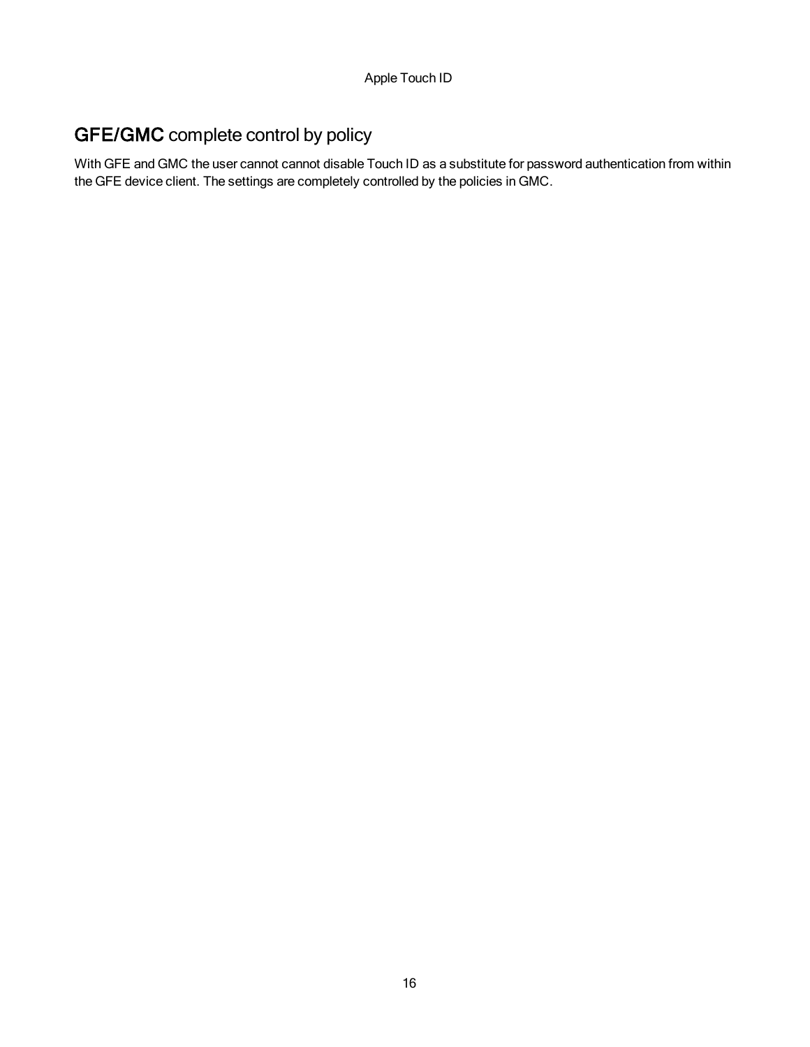### <span id="page-15-0"></span>GFE/GMC complete control by policy

With GFE and GMC the user cannot cannot disable Touch ID as a substitute for password authentication from within the GFE device client. The settings are completely controlled by the policies in GMC.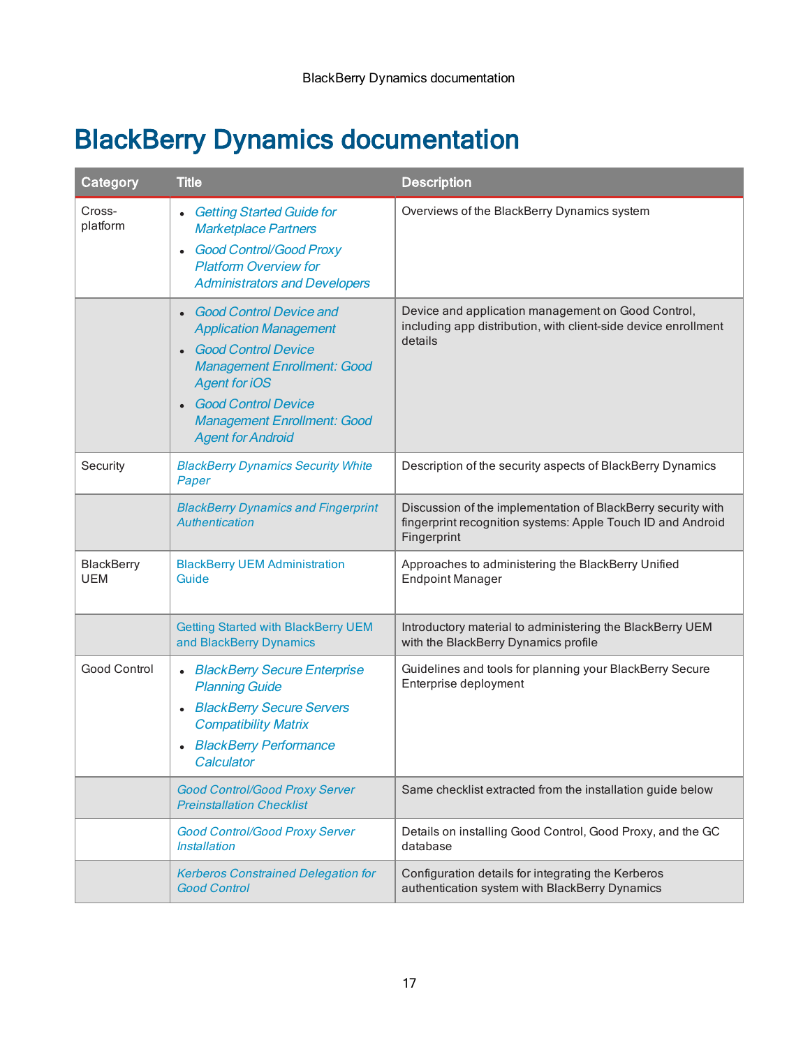# <span id="page-16-0"></span>BlackBerry Dynamics documentation

| Category                        | <b>Title</b>                                                                                                                                                                                                                                                                          | <b>Description</b>                                                                                                                         |
|---------------------------------|---------------------------------------------------------------------------------------------------------------------------------------------------------------------------------------------------------------------------------------------------------------------------------------|--------------------------------------------------------------------------------------------------------------------------------------------|
| Cross-<br>platform              | <b>Getting Started Guide for</b><br><b>Marketplace Partners</b><br><b>Good Control/Good Proxy</b><br>$\bullet$<br><b>Platform Overview for</b><br><b>Administrators and Developers</b>                                                                                                | Overviews of the BlackBerry Dynamics system                                                                                                |
|                                 | <b>Good Control Device and</b><br>$\bullet$<br><b>Application Management</b><br><b>Good Control Device</b><br>$\bullet$<br><b>Management Enrollment: Good</b><br><b>Agent for iOS</b><br><b>Good Control Device</b><br><b>Management Enrollment: Good</b><br><b>Agent for Android</b> | Device and application management on Good Control,<br>including app distribution, with client-side device enrollment<br>details            |
| Security                        | <b>BlackBerry Dynamics Security White</b><br>Paper                                                                                                                                                                                                                                    | Description of the security aspects of BlackBerry Dynamics                                                                                 |
|                                 | <b>BlackBerry Dynamics and Fingerprint</b><br>Authentication                                                                                                                                                                                                                          | Discussion of the implementation of BlackBerry security with<br>fingerprint recognition systems: Apple Touch ID and Android<br>Fingerprint |
| <b>BlackBerry</b><br><b>UEM</b> | <b>BlackBerry UEM Administration</b><br>Guide                                                                                                                                                                                                                                         | Approaches to administering the BlackBerry Unified<br><b>Endpoint Manager</b>                                                              |
|                                 | <b>Getting Started with BlackBerry UEM</b><br>and BlackBerry Dynamics                                                                                                                                                                                                                 | Introductory material to administering the BlackBerry UEM<br>with the BlackBerry Dynamics profile                                          |
| Good Control                    | <b>BlackBerry Secure Enterprise</b><br>$\bullet$<br><b>Planning Guide</b><br>• BlackBerry Secure Servers<br><b>Compatibility Matrix</b><br><b>BlackBerry Performance</b><br>Calculator                                                                                                | Guidelines and tools for planning your BlackBerry Secure<br>Enterprise deployment                                                          |
|                                 | <b>Good Control/Good Proxy Server</b><br><b>Preinstallation Checklist</b>                                                                                                                                                                                                             | Same checklist extracted from the installation guide below                                                                                 |
|                                 | <b>Good Control/Good Proxy Server</b><br><i><b>Installation</b></i>                                                                                                                                                                                                                   | Details on installing Good Control, Good Proxy, and the GC<br>database                                                                     |
|                                 | <b>Kerberos Constrained Delegation for</b><br><b>Good Control</b>                                                                                                                                                                                                                     | Configuration details for integrating the Kerberos<br>authentication system with BlackBerry Dynamics                                       |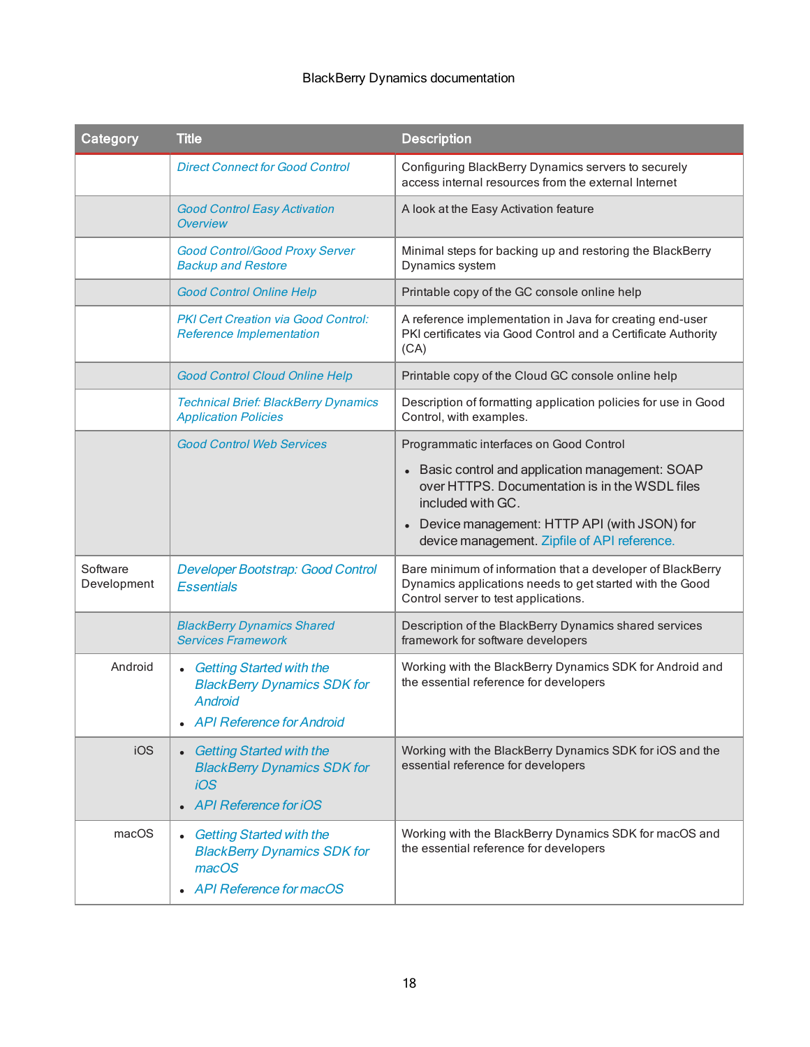#### BlackBerry Dynamics documentation

| Category                | <b>Title</b>                                                                                                                             | <b>Description</b>                                                                                                                                                                                                                                                |
|-------------------------|------------------------------------------------------------------------------------------------------------------------------------------|-------------------------------------------------------------------------------------------------------------------------------------------------------------------------------------------------------------------------------------------------------------------|
|                         | <b>Direct Connect for Good Control</b>                                                                                                   | Configuring BlackBerry Dynamics servers to securely<br>access internal resources from the external Internet                                                                                                                                                       |
|                         | <b>Good Control Easy Activation</b><br><b>Overview</b>                                                                                   | A look at the Easy Activation feature                                                                                                                                                                                                                             |
|                         | Good Control/Good Proxy Server<br><b>Backup and Restore</b>                                                                              | Minimal steps for backing up and restoring the BlackBerry<br>Dynamics system                                                                                                                                                                                      |
|                         | <b>Good Control Online Help</b>                                                                                                          | Printable copy of the GC console online help                                                                                                                                                                                                                      |
|                         | <b>PKI Cert Creation via Good Control:</b><br><b>Reference Implementation</b>                                                            | A reference implementation in Java for creating end-user<br>PKI certificates via Good Control and a Certificate Authority<br>(CA)                                                                                                                                 |
|                         | <b>Good Control Cloud Online Help</b>                                                                                                    | Printable copy of the Cloud GC console online help                                                                                                                                                                                                                |
|                         | <b>Technical Brief: BlackBerry Dynamics</b><br><b>Application Policies</b>                                                               | Description of formatting application policies for use in Good<br>Control, with examples.                                                                                                                                                                         |
|                         | <b>Good Control Web Services</b>                                                                                                         | Programmatic interfaces on Good Control<br>• Basic control and application management: SOAP<br>over HTTPS. Documentation is in the WSDL files<br>included with GC.<br>Device management: HTTP API (with JSON) for<br>device management. Zipfile of API reference. |
| Software<br>Development | Developer Bootstrap: Good Control<br><b>Essentials</b>                                                                                   | Bare minimum of information that a developer of BlackBerry<br>Dynamics applications needs to get started with the Good<br>Control server to test applications.                                                                                                    |
|                         | <b>BlackBerry Dynamics Shared</b><br><b>Services Framework</b>                                                                           | Description of the BlackBerry Dynamics shared services<br>framework for software developers                                                                                                                                                                       |
| Android                 | <b>Getting Started with the</b><br>$\bullet$<br><b>BlackBerry Dynamics SDK for</b><br><b>Android</b><br><b>API Reference for Android</b> | Working with the BlackBerry Dynamics SDK for Android and<br>the essential reference for developers                                                                                                                                                                |
| iOS                     | <b>Getting Started with the</b><br><b>BlackBerry Dynamics SDK for</b><br><i><b>iOS</b></i><br><b>API Reference for iOS</b>               | Working with the BlackBerry Dynamics SDK for iOS and the<br>essential reference for developers                                                                                                                                                                    |
| macOS                   | <b>Getting Started with the</b><br><b>BlackBerry Dynamics SDK for</b><br>macOS<br>API Reference for macOS                                | Working with the BlackBerry Dynamics SDK for macOS and<br>the essential reference for developers                                                                                                                                                                  |